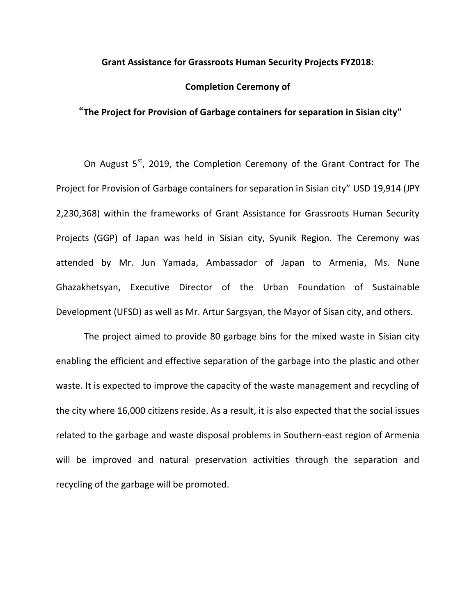## **Grant Assistance for Grassroots Human Security Projects FY2018:**

## **Completion Ceremony of**

## "**The Project for Provision of Garbage containers for separation in Sisian city"**

On August 5<sup>st</sup>, 2019, the Completion Ceremony of the Grant Contract for The Project for Provision of Garbage containers for separation in Sisian city" USD 19,914 (JPY 2,230,368) within the frameworks of Grant Assistance for Grassroots Human Security Projects (GGP) of Japan was held in Sisian city, Syunik Region. The Ceremony was attended by Mr. Jun Yamada, Ambassador of Japan to Armenia, Ms. Nune Ghazakhetsyan, Executive Director of the Urban Foundation of Sustainable Development (UFSD) as well as Mr. Artur Sargsyan, the Mayor of Sisan city, and others.

The project aimed to provide 80 garbage bins for the mixed waste in Sisian city enabling the efficient and effective separation of the garbage into the plastic and other waste. It is expected to improve the capacity of the waste management and recycling of the city where 16,000 citizens reside. As a result, it is also expected that the social issues related to the garbage and waste disposal problems in Southern-east region of Armenia will be improved and natural preservation activities through the separation and recycling of the garbage will be promoted.